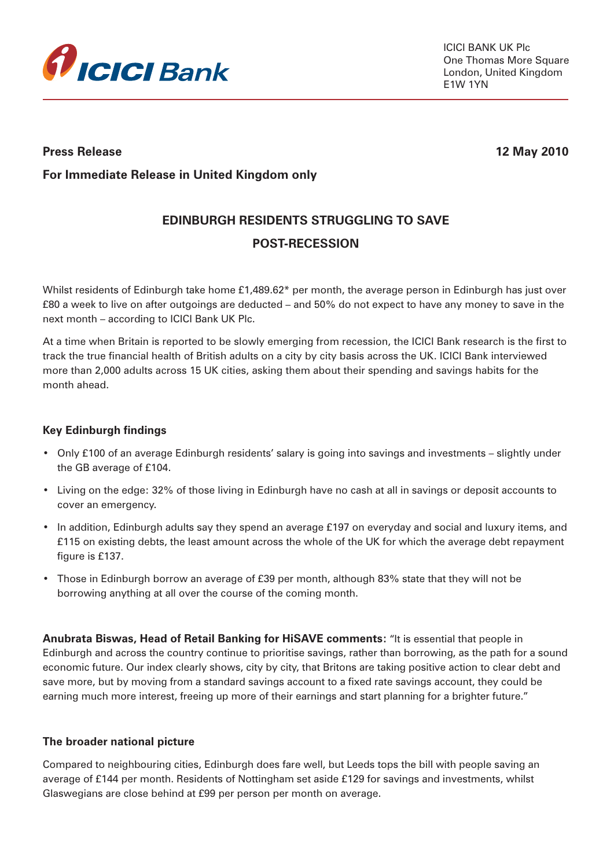

## **Press Release 12 May 2010**

**For Immediate Release in United Kingdom only**

# **EDINBURGH RESIDENTS STRUGGLING TO SAVE POST-RECESSION**

Whilst residents of Edinburgh take home £1,489.62\* per month, the average person in Edinburgh has just over £80 a week to live on after outgoings are deducted – and 50% do not expect to have any money to save in the next month – according to ICICI Bank UK Plc.

At a time when Britain is reported to be slowly emerging from recession, the ICICI Bank research is the first to track the true financial health of British adults on a city by city basis across the UK. ICICI Bank interviewed more than 2,000 adults across 15 UK cities, asking them about their spending and savings habits for the month ahead.

### **Key Edinburgh findings**

- Only £100 of an average Edinburgh residents' salary is going into savings and investments slightly under the GB average of £104.
- Living on the edge: 32% of those living in Edinburgh have no cash at all in savings or deposit accounts to cover an emergency.
- In addition, Edinburgh adults say they spend an average £197 on everyday and social and luxury items, and £115 on existing debts, the least amount across the whole of the UK for which the average debt repayment figure is £137.
- Those in Edinburgh borrow an average of £39 per month, although 83% state that they will not be borrowing anything at all over the course of the coming month.

**Anubrata Biswas, Head of Retail Banking for HiSAVE comments:** "It is essential that people in Edinburgh and across the country continue to prioritise savings, rather than borrowing, as the path for a sound economic future. Our index clearly shows, city by city, that Britons are taking positive action to clear debt and save more, but by moving from a standard savings account to a fixed rate savings account, they could be earning much more interest, freeing up more of their earnings and start planning for a brighter future."

### **The broader national picture**

Compared to neighbouring cities, Edinburgh does fare well, but Leeds tops the bill with people saving an average of £144 per month. Residents of Nottingham set aside £129 for savings and investments, whilst Glaswegians are close behind at £99 per person per month on average.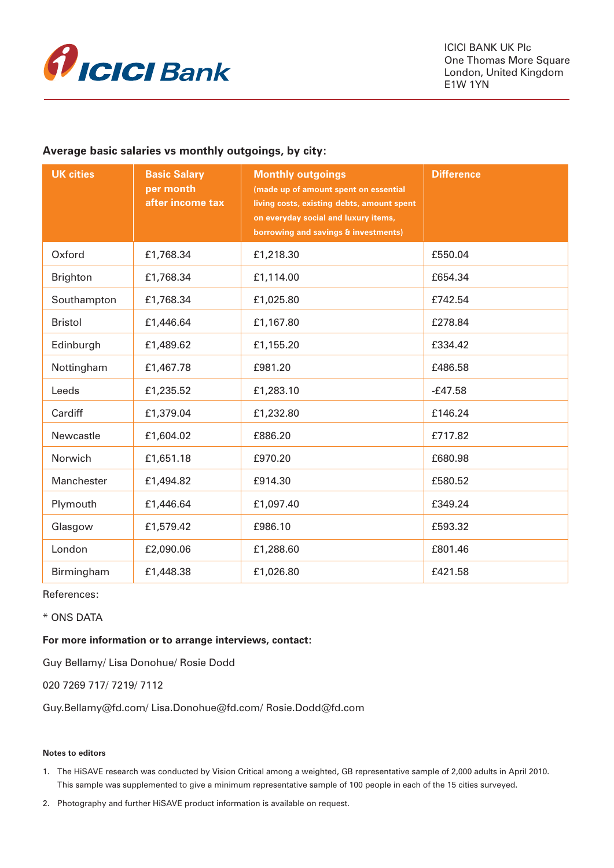

#### **Average basic salaries vs monthly outgoings, by city:**

| <b>UK cities</b> | <b>Basic Salary</b><br>per month<br>after income tax | <b>Monthly outgoings</b><br>(made up of amount spent on essential<br>living costs, existing debts, amount spent<br>on everyday social and luxury items,<br>borrowing and savings & investments) | <b>Difference</b> |
|------------------|------------------------------------------------------|-------------------------------------------------------------------------------------------------------------------------------------------------------------------------------------------------|-------------------|
| Oxford           | £1,768.34                                            | £1,218.30                                                                                                                                                                                       | £550.04           |
| <b>Brighton</b>  | £1,768.34                                            | £1,114.00                                                                                                                                                                                       | £654.34           |
| Southampton      | £1,768.34                                            | £1,025.80                                                                                                                                                                                       | £742.54           |
| <b>Bristol</b>   | £1,446.64                                            | £1,167.80                                                                                                                                                                                       | £278.84           |
| Edinburgh        | £1,489.62                                            | £1,155.20                                                                                                                                                                                       | £334.42           |
| Nottingham       | £1,467.78                                            | £981.20                                                                                                                                                                                         | £486.58           |
| Leeds            | £1,235.52                                            | £1,283.10                                                                                                                                                                                       | $-E47.58$         |
| Cardiff          | £1,379.04                                            | £1,232.80                                                                                                                                                                                       | £146.24           |
| Newcastle        | £1,604.02                                            | £886.20                                                                                                                                                                                         | £717.82           |
| Norwich          | £1,651.18                                            | £970.20                                                                                                                                                                                         | £680.98           |
| Manchester       | £1,494.82                                            | £914.30                                                                                                                                                                                         | £580.52           |
| Plymouth         | £1,446.64                                            | £1,097.40                                                                                                                                                                                       | £349.24           |
| Glasgow          | £1,579.42                                            | £986.10                                                                                                                                                                                         | £593.32           |
| London           | £2,090.06                                            | £1,288.60                                                                                                                                                                                       | £801.46           |
| Birmingham       | £1,448.38                                            | £1,026.80                                                                                                                                                                                       | £421.58           |

References:

\* ONS DATA

#### **For more information or to arrange interviews, contact:**

Guy Bellamy/ Lisa Donohue/ Rosie Dodd

020 7269 717/ 7219/ 7112

Guy.Bellamy@fd.com/ Lisa.Donohue@fd.com/ Rosie.Dodd@fd.com

#### **Notes to editors**

1. The HiSAVE research was conducted by Vision Critical among a weighted, GB representative sample of 2,000 adults in April 2010. This sample was supplemented to give a minimum representative sample of 100 people in each of the 15 cities surveyed.

2. Photography and further HiSAVE product information is available on request.